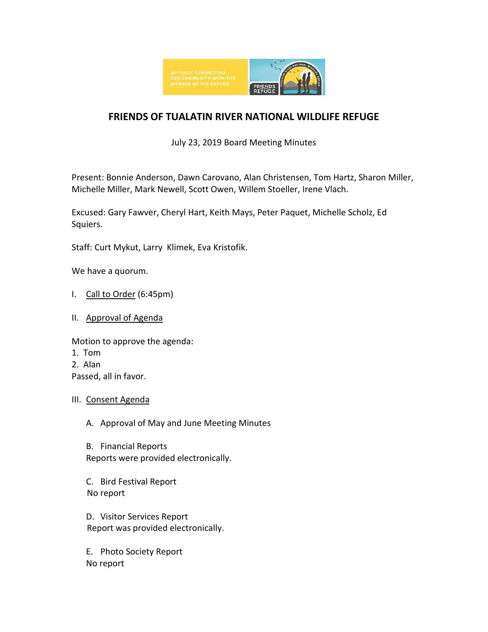

# **FRIENDS OF TUALATIN RIVER NATIONAL WILDLIFE REFUGE**

July 23, 2019 Board Meeting Minutes

Present: Bonnie Anderson, Dawn Carovano, Alan Christensen, Tom Hartz, Sharon Miller, Michelle Miller, Mark Newell, Scott Owen, Willem Stoeller, Irene Vlach.

Excused: Gary Fawver, Cheryl Hart, Keith Mays, Peter Paquet, Michelle Scholz, Ed Squiers.

Staff: Curt Mykut, Larry Klimek, Eva Kristofik.

We have a quorum.

- I. Call to Order (6:45pm)
- II. Approval of Agenda

Motion to approve the agenda: 1. Tom 2. Alan Passed, all in favor.

- III. Consent Agenda
	- A. Approval of May and June Meeting Minutes

B. Financial Reports Reports were provided electronically.

C. Bird Festival Report No report

D. Visitor Services Report Report was provided electronically.

E. Photo Society Report No report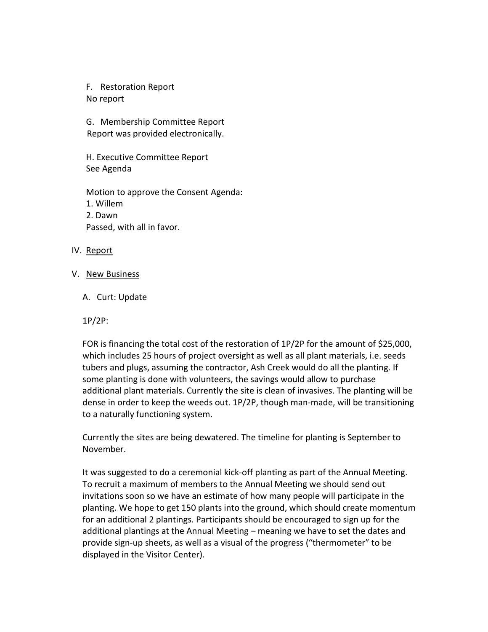F. Restoration Report No report

G. Membership Committee Report Report was provided electronically.

H. Executive Committee Report See Agenda

Motion to approve the Consent Agenda: 1. Willem 2. Dawn Passed, with all in favor.

### IV. Report

- V. New Business
	- A. Curt: Update

1P/2P:

FOR is financing the total cost of the restoration of 1P/2P for the amount of \$25,000, which includes 25 hours of project oversight as well as all plant materials, i.e. seeds tubers and plugs, assuming the contractor, Ash Creek would do all the planting. If some planting is done with volunteers, the savings would allow to purchase additional plant materials. Currently the site is clean of invasives. The planting will be dense in order to keep the weeds out. 1P/2P, though man-made, will be transitioning to a naturally functioning system.

Currently the sites are being dewatered. The timeline for planting is September to November.

It was suggested to do a ceremonial kick-off planting as part of the Annual Meeting. To recruit a maximum of members to the Annual Meeting we should send out invitations soon so we have an estimate of how many people will participate in the planting. We hope to get 150 plants into the ground, which should create momentum for an additional 2 plantings. Participants should be encouraged to sign up for the additional plantings at the Annual Meeting – meaning we have to set the dates and provide sign-up sheets, as well as a visual of the progress ("thermometer" to be displayed in the Visitor Center).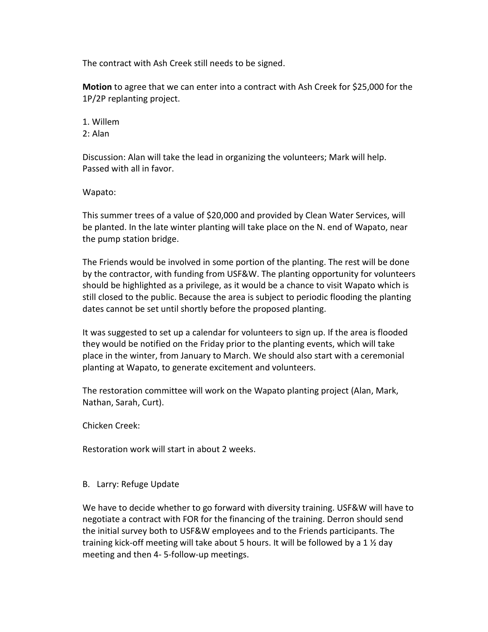The contract with Ash Creek still needs to be signed.

**Motion** to agree that we can enter into a contract with Ash Creek for \$25,000 for the 1P/2P replanting project.

1. Willem 2: Alan

Discussion: Alan will take the lead in organizing the volunteers; Mark will help. Passed with all in favor.

Wapato:

This summer trees of a value of \$20,000 and provided by Clean Water Services, will be planted. In the late winter planting will take place on the N. end of Wapato, near the pump station bridge.

The Friends would be involved in some portion of the planting. The rest will be done by the contractor, with funding from USF&W. The planting opportunity for volunteers should be highlighted as a privilege, as it would be a chance to visit Wapato which is still closed to the public. Because the area is subject to periodic flooding the planting dates cannot be set until shortly before the proposed planting.

It was suggested to set up a calendar for volunteers to sign up. If the area is flooded they would be notified on the Friday prior to the planting events, which will take place in the winter, from January to March. We should also start with a ceremonial planting at Wapato, to generate excitement and volunteers.

The restoration committee will work on the Wapato planting project (Alan, Mark, Nathan, Sarah, Curt).

Chicken Creek:

Restoration work will start in about 2 weeks.

B. Larry: Refuge Update

We have to decide whether to go forward with diversity training. USF&W will have to negotiate a contract with FOR for the financing of the training. Derron should send the initial survey both to USF&W employees and to the Friends participants. The training kick-off meeting will take about 5 hours. It will be followed by a 1 ½ day meeting and then 4- 5-follow-up meetings.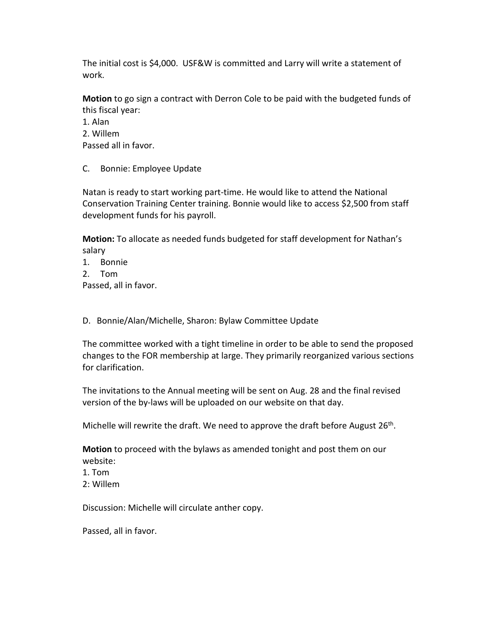The initial cost is \$4,000. USF&W is committed and Larry will write a statement of work.

**Motion** to go sign a contract with Derron Cole to be paid with the budgeted funds of this fiscal year:

- 1. Alan 2. Willem Passed all in favor.
- C. Bonnie: Employee Update

Natan is ready to start working part-time. He would like to attend the National Conservation Training Center training. Bonnie would like to access \$2,500 from staff development funds for his payroll.

**Motion:** To allocate as needed funds budgeted for staff development for Nathan's salary

1. Bonnie 2. Tom

Passed, all in favor.

## D. Bonnie/Alan/Michelle, Sharon: Bylaw Committee Update

The committee worked with a tight timeline in order to be able to send the proposed changes to the FOR membership at large. They primarily reorganized various sections for clarification.

The invitations to the Annual meeting will be sent on Aug. 28 and the final revised version of the by-laws will be uploaded on our website on that day.

Michelle will rewrite the draft. We need to approve the draft before August 26<sup>th</sup>.

**Motion** to proceed with the bylaws as amended tonight and post them on our website:

- 1. Tom
- 2: Willem

Discussion: Michelle will circulate anther copy.

Passed, all in favor.